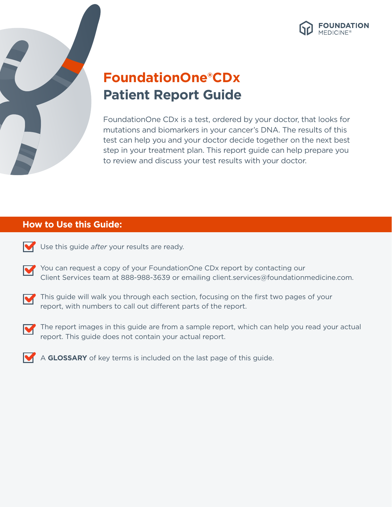



# **FoundationOne®CDx Patient Report Guide**

FoundationOne CDx is a test, ordered by your doctor, that looks for mutations and biomarkers in your cancer's DNA. The results of this test can help you and your doctor decide together on the next best step in your treatment plan. This report guide can help prepare you to review and discuss your test results with your doctor.

### **How to Use this Guide:**



Use this guide *after* your results are ready.

You can request a copy of your FoundationOne CDx report by contacting our M Client Services team at 888-988-3639 or emailing client.services@foundationmedicine.com.



This guide will walk you through each section, focusing on the first two pages of your report, with numbers to call out different parts of the report.



The report images in this guide are from a sample report, which can help you read your actual report. This guide does not contain your actual report.



A **GLOSSARY** of key terms is included on the last page of this guide.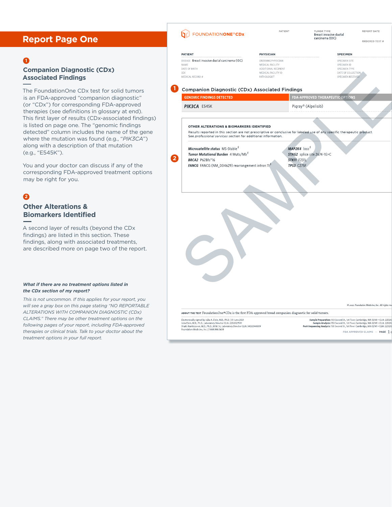### **Report Page One**

### **1**

### **Companion Diagnostic (CDx) Associated Findings**

The FoundationOne CDx test for solid tumors is an FDA-approved "companion diagnostic" (or "CDx") for corresponding FDA-approved therapies (see definitions in glossary at end). This first layer of results (CDx-associated findings) is listed on page one. The "genomic findings detected" column includes the name of the gene where the mutation was found (e.g., "*PIK3CA*") along with a description of that mutation (e.g., "E545K").

You and your doctor can discuss if any of the corresponding FDA-approved treatment options may be right for you.

## **2**

### **Other Alterations & Biomarkers Identified**

A second layer of results (beyond the CDx findings) are listed in this section. These findings, along with associated treatments, are described more on page two of the report.

#### *What if there are no treatment options listed in the CDx section of my report?*

*This is not uncommon. If this applies for your report, you will see a gray box on this page stating "NO REPORTABLE ALTERATIONS WITH COMPANION DIAGNOSTIC (CDx) CLAIMS." There may be other treatment options on the following pages of your report, including FDA-approved therapies or clinical trials. Talk to your doctor about the treatment options in your full report.*

|                       | <b>FOUNDATIONONE<sup>®</sup>CDx</b>                                                                                                                                                                                                                                  | PATIENT                                                        | TUMOR TYPE<br>Breast invasive ductal<br>carcinoma (IDC)                                |                                               | REPORT DATE<br><b>ORDERED TEST #</b>                                                                                                                              |
|-----------------------|----------------------------------------------------------------------------------------------------------------------------------------------------------------------------------------------------------------------------------------------------------------------|----------------------------------------------------------------|----------------------------------------------------------------------------------------|-----------------------------------------------|-------------------------------------------------------------------------------------------------------------------------------------------------------------------|
| <b>PATIENT</b>        |                                                                                                                                                                                                                                                                      | <b>PHYSICIAN</b>                                               |                                                                                        | <b>SPECIMEN</b>                               |                                                                                                                                                                   |
| NAME<br>DATE OF BIRTH | DISEASE Breast invasive ductal carcinoma (IDC)                                                                                                                                                                                                                       | ORDERING PHYSICIAN<br>MEDICAL FACILITY<br>ADDITIONAL RECIPIENT |                                                                                        | SPECIMEN SITE<br>SPECIMEN ID<br>SPECIMEN TYPE |                                                                                                                                                                   |
| SEX                   | MEDICAL RECORD #                                                                                                                                                                                                                                                     | MEDICAL FACILITY ID<br>PATHOLOGIST                             |                                                                                        | DATE OF COLLECTION<br>SPECIMEN RECEIVED       |                                                                                                                                                                   |
|                       | <b>Companion Diagnostic (CDx) Associated Findings</b>                                                                                                                                                                                                                |                                                                |                                                                                        |                                               |                                                                                                                                                                   |
|                       | <b>GENOMIC FINDINGS DETECTED</b>                                                                                                                                                                                                                                     |                                                                | <b>FDA-APPROVED THERAPEUTIC OPTIONS</b>                                                |                                               |                                                                                                                                                                   |
|                       | PIK3CA E545K                                                                                                                                                                                                                                                         |                                                                | Piqray® (Alpelisib)                                                                    |                                               |                                                                                                                                                                   |
|                       | OTHER ALTERATIONS & BIOMARKERS IDENTIFIED<br>Results reported in this section are not prescriptive or conclusive for labeled use of any specific therapeutic product.<br>See professional services section for additional information.                               |                                                                |                                                                                        |                                               |                                                                                                                                                                   |
|                       | Microsatellite status MS-Stable <sup>§</sup>                                                                                                                                                                                                                         |                                                                | MAP2K4 loss <sup>§</sup>                                                               |                                               |                                                                                                                                                                   |
|                       | Tumor Mutational Burden 4 Muts/Mb <sup>§</sup>                                                                                                                                                                                                                       |                                                                | STAG2 splice site 2674-1G>C                                                            |                                               |                                                                                                                                                                   |
|                       | <b>BRCA2 P628fs*16</b><br>FANCG FANCG (NM_004629) rearrangement intron 11 <sup>8</sup>                                                                                                                                                                               |                                                                | <b>STK11 F231L</b><br>TP53 C275F                                                       |                                               |                                                                                                                                                                   |
|                       |                                                                                                                                                                                                                                                                      |                                                                |                                                                                        |                                               |                                                                                                                                                                   |
|                       |                                                                                                                                                                                                                                                                      |                                                                |                                                                                        |                                               |                                                                                                                                                                   |
|                       |                                                                                                                                                                                                                                                                      |                                                                |                                                                                        |                                               | C 2021 Foundation Medicine, Inc. All rights res                                                                                                                   |
|                       | ABOUT THE TEST FoundationOne®CDx is the first FDA-approved broad companion diagnostic for solid tumors.                                                                                                                                                              |                                                                |                                                                                        |                                               |                                                                                                                                                                   |
|                       | Electronically signed by Julia A. Elvin, M.D., Ph.D.   01 June 2021<br>Julia Elvin, M.D., Ph.D., Laboratory Director CLIA: 22D2027531<br>Shakti Ramkissoon, M.D., Ph.D., M.M. Sc, Laboratory Director CLIA: 34D2044309<br>Foundation Medicine, Inc.   1.888.988.3639 |                                                                | Post-Sequencing Analysis: 150 Second St., 1st Floor. Cambridge, MA 02141 . CLIA: 22D20 |                                               | Sample Preparation: 150 Second St., 1st Floor, Cambridge, MA 02141 . CLIA: 22D20<br>Sample Analysis: 150 Second St., 1st Floor, Cambridge, MA 02141 · CLIA: 22D20 |
|                       |                                                                                                                                                                                                                                                                      |                                                                |                                                                                        |                                               | $FDA$ APPROVED CLAIMS $-$ PAGE $1$                                                                                                                                |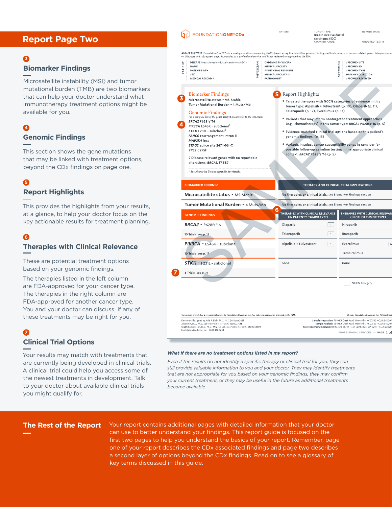### **Report Page Two**

### **3**

### **Biomarker Findings**

Microsatellite instability (MSI) and tumor mutational burden (TMB) are two biomarkers that can help your doctor understand what immunotherapy treatment options might be available for you.

### **Genomic Findings 4**

This section shows the gene mutations that may be linked with treatment options, beyond the CDx findings on page one.

### **5**

### **Report Highlights**

This provides the highlights from your results, at a glance, to help your doctor focus on the key actionable results for treatment planning.

### **Therapies with Clinical Relevance 6**

These are potential treatment options based on your genomic findings.

The therapies listed in the left column are FDA-approved for your cancer type. The therapies in the right column are FDA-approved for another cancer type. You and your doctor can discuss if any of these treatments may be right for you.

### **7**

### **Clinical Trial Options**

Your results may match with treatments that are currently being developed in clinical trials. A clinical trial could help you access some of the newest treatments in development. Talk to your doctor about available clinical trials you might qualify for.

|                                                                                                                                                                               |                                                                 |                                                                 | carcinoma (IDC)<br>COUNTRY CODE         | ORDERED TEST #                                                                         |  |
|-------------------------------------------------------------------------------------------------------------------------------------------------------------------------------|-----------------------------------------------------------------|-----------------------------------------------------------------|-----------------------------------------|----------------------------------------------------------------------------------------|--|
| ABOUT THE TEST FoundationOne®CDx is a next-generation sequencing (NGS) based assay that identifies genomic findings within hundreds of cancer-related genes. Interpretive cor |                                                                 |                                                                 |                                         |                                                                                        |  |
| on this page and subsequent pages is provided as a professional service, and is not reviewed or approved by the FDA.                                                          |                                                                 |                                                                 |                                         |                                                                                        |  |
| <b>DISEASE</b> Breast invasive ductal carcinoma (IDC)<br>ENT<br><b>NAME</b>                                                                                                   | <b>MEDICAL FACILITY</b>                                         | <b>ORDERING PHYSICIAN</b>                                       |                                         | <b>SPECIMEN SITE</b><br>풉<br>SPECIMEN ID                                               |  |
| PATI<br>DATE OF BIRTH                                                                                                                                                         |                                                                 | <b>ADDITIONAL RECIPIENT</b>                                     |                                         | SPECIMEN TYPE                                                                          |  |
| <b>SEX</b>                                                                                                                                                                    | PHYSICIAN<br>MEDICAL FACILITY ID                                |                                                                 |                                         | SPECIM<br>DATE OF COLLECTION                                                           |  |
| <b>MEDICAL RECORD #</b>                                                                                                                                                       | PATHOLOGIST                                                     |                                                                 |                                         | SPECIMEN RECEIVED                                                                      |  |
|                                                                                                                                                                               |                                                                 |                                                                 |                                         |                                                                                        |  |
| <b>Biomarker Findings</b>                                                                                                                                                     |                                                                 | Report Highlights                                               |                                         |                                                                                        |  |
| Microsatellite status - MS-Stable                                                                                                                                             |                                                                 |                                                                 |                                         |                                                                                        |  |
| Tumor Mutational Burden - 4 Muts/Mb                                                                                                                                           |                                                                 |                                                                 |                                         | • Targeted therapies with NCCN categories of evidence in this                          |  |
| Genomic Findings                                                                                                                                                              |                                                                 |                                                                 | Talazoparib (p. 12), Everolimus (p. 13) | tumor type: Alpelisib + Fulvestrant (p. 10), Olaparib (p. 11),                         |  |
| For a complete list of the genes assayed, please refer to the Appendix.                                                                                                       |                                                                 |                                                                 |                                         |                                                                                        |  |
| BRCA2 P628fs*16                                                                                                                                                               |                                                                 |                                                                 |                                         | • Variants that may inform nontargeted treatment approaches                            |  |
| PIK3CA E545K - subclonal                                                                                                                                                      |                                                                 |                                                                 |                                         | (e.g., chemotherapy) in this tumor type: BRCA2 P628fs*16 (p. 5)                        |  |
| STK11 F231L - subclonal <sup>®</sup>                                                                                                                                          |                                                                 |                                                                 |                                         | . Evidence-matched clinical trial options based on this patient's                      |  |
| FANCG rearrangement intron 11                                                                                                                                                 |                                                                 | genomic findings: (p. 15)                                       |                                         |                                                                                        |  |
| MAP2K4 loss                                                                                                                                                                   |                                                                 |                                                                 |                                         |                                                                                        |  |
| STAG2 splice site 2674-1G>C                                                                                                                                                   |                                                                 |                                                                 |                                         | . Variants in select cancer susceptibility genes to consider for                       |  |
| <b>TP53 C275F</b>                                                                                                                                                             |                                                                 | possible follow-up germline testing in the appropriate clinical |                                         |                                                                                        |  |
|                                                                                                                                                                               |                                                                 |                                                                 | context: BRCA2 P628fs*16 (p. 5)         |                                                                                        |  |
| 2 Disease relevant genes with no reportable                                                                                                                                   |                                                                 |                                                                 |                                         |                                                                                        |  |
| alterations: BRCA1, ERBB2                                                                                                                                                     |                                                                 |                                                                 |                                         |                                                                                        |  |
|                                                                                                                                                                               |                                                                 |                                                                 |                                         |                                                                                        |  |
| t See About the Test in appendix for details.                                                                                                                                 |                                                                 |                                                                 |                                         |                                                                                        |  |
| <b>BIOMARKER FINDINGS</b>                                                                                                                                                     |                                                                 |                                                                 |                                         | THERAPY AND CLINICAL TRIAL IMPLICATIONS                                                |  |
| Microsatellite status - MS-Stable                                                                                                                                             | No therapies or clinical trials, see Biomarker Findings section |                                                                 |                                         |                                                                                        |  |
| Tumor Mutational Burden - 4 Muts/Mb                                                                                                                                           |                                                                 |                                                                 |                                         | No therapies or clinical trials, see Biomarker Findings section                        |  |
|                                                                                                                                                                               | 6                                                               | THERAPIES WITH CLINICAL RELEVANCE                               |                                         | THERAPIES WITH CLINICAL RELEVAN                                                        |  |
| <b>GENOMIC FINDINGS</b>                                                                                                                                                       |                                                                 | (IN PATIENT'S TUMOR TYPE)                                       |                                         | (IN OTHER TUMOR TYPE)                                                                  |  |
| <b>BRCA2 - P628fs*16</b>                                                                                                                                                      |                                                                 | Olaparib                                                        | $\mathbf{1}$                            | Niraparib                                                                              |  |
|                                                                                                                                                                               |                                                                 |                                                                 |                                         |                                                                                        |  |
| 10 Trials see p. 15                                                                                                                                                           |                                                                 | Talazoparib                                                     | $\mathbf{1}$                            | Rucaparib                                                                              |  |
| PIK3CA - E545K - subclonal                                                                                                                                                    |                                                                 | Alpelisib + Fulvestrant                                         | $\vert + \vert$                         | $\overline{2}$<br>Everolimus                                                           |  |
|                                                                                                                                                                               |                                                                 |                                                                 |                                         | Temsirolimus                                                                           |  |
| 10 Trials see p. 17                                                                                                                                                           |                                                                 |                                                                 |                                         |                                                                                        |  |
| STK11 - F231L - subclonal                                                                                                                                                     |                                                                 | none                                                            |                                         | none                                                                                   |  |
| 8 Trials see p. 19                                                                                                                                                            |                                                                 |                                                                 |                                         |                                                                                        |  |
|                                                                                                                                                                               |                                                                 |                                                                 |                                         |                                                                                        |  |
|                                                                                                                                                                               |                                                                 |                                                                 |                                         | NCCN Category                                                                          |  |
|                                                                                                                                                                               |                                                                 |                                                                 |                                         |                                                                                        |  |
|                                                                                                                                                                               |                                                                 |                                                                 |                                         |                                                                                        |  |
|                                                                                                                                                                               |                                                                 |                                                                 |                                         |                                                                                        |  |
|                                                                                                                                                                               |                                                                 |                                                                 |                                         |                                                                                        |  |
|                                                                                                                                                                               |                                                                 |                                                                 |                                         |                                                                                        |  |
| The content provided as a professional service by Foundation Medicine, Inc., has not been reviewed or approved by the FDA.                                                    |                                                                 |                                                                 |                                         | C 2021 Foundation Medicine, Inc. All rights re-                                        |  |
| Electronically signed by Julia A. Elvin, M.D., Ph.D.   01 June 2021                                                                                                           |                                                                 |                                                                 |                                         | Sample Preparation: 7010 Kit Creek Road, Morrisville, NC 27560 -- CLIA: 34D204         |  |
| Julia Elvin, M.D., Ph.D., Laboratory Director CLIA: 22D2027531                                                                                                                |                                                                 |                                                                 |                                         | Sample Analysis: 7010 Kit Creek Road, Morrisville, NC 27560 - CLIA: 34D20-             |  |
| Shakti Ramkissoon, M.D., Ph.D., M.M. Sc, Laboratory Director CLIA: 34D2044309<br>Foundation Medicine, Inc.   1.888.988.3639                                                   |                                                                 |                                                                 |                                         | Post-Sequencing Analysis: 150 Second St., 1st Floor. Cambridge, MA 02141 - CLIA: 22D20 |  |
|                                                                                                                                                                               |                                                                 |                                                                 |                                         | PROFESSIONAL SERVICES $-$ PAGE $1$ of                                                  |  |
|                                                                                                                                                                               |                                                                 |                                                                 |                                         |                                                                                        |  |
|                                                                                                                                                                               |                                                                 |                                                                 |                                         |                                                                                        |  |

PATIENT

**SET FOUNDATIONONE<sup>®</sup>CDx** 

REPORT DATE

Breast invasive ductal

#### *What if there are no treatment options listed in my report?*

*Even if the results do not identify a specific therapy or clinical trial for you, they can still provide valuable information to you and your doctor. They may identify treatments that are not appropriate for you based on your genomic findings, they may confirm your current treatment, or they may be useful in the future as additional treatments become available.*

**The Rest of the Report** Your report contains additional pages with detailed information that your doctor can use to better understand your findings. This report guide is focused on the first two pages to help you understand the basics of your report. Remember, page one of your report describes the CDx associated findings and page two describes a second layer of options beyond the CDx findings. Read on to see a glossary of key terms discussed in this guide.